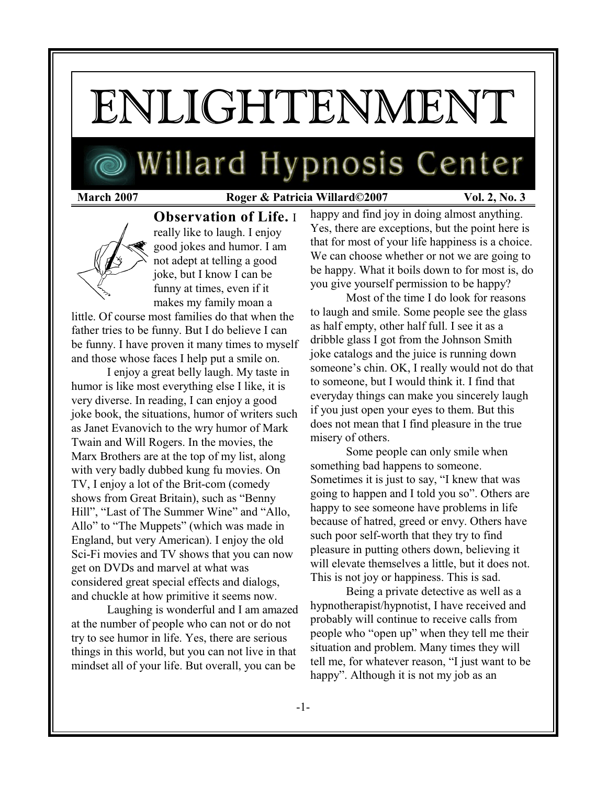# ENLIGHTENMENT

## Willard Hypnosis Center

### **March 2007 Roger & Patricia Willard©2007 Vol. 2, No. 3**



**Observation of Life.** I really like to laugh. I enjoy good jokes and humor. I am not adept at telling a good joke, but I know I can be funny at times, even if it makes my family moan a

little. Of course most families do that when the father tries to be funny. But I do believe I can be funny. I have proven it many times to myself and those whose faces I help put a smile on.

I enjoy a great belly laugh. My taste in humor is like most everything else I like, it is very diverse. In reading, I can enjoy a good joke book, the situations, humor of writers such as Janet Evanovich to the wry humor of Mark Twain and Will Rogers. In the movies, the Marx Brothers are at the top of my list, along with very badly dubbed kung fu movies. On TV, I enjoy a lot of the Brit-com (comedy shows from Great Britain), such as "Benny Hill", "Last of The Summer Wine" and "Allo, Allo" to "The Muppets" (which was made in England, but very American). I enjoy the old Sci-Fi movies and TV shows that you can now get on DVDs and marvel at what was considered great special effects and dialogs, and chuckle at how primitive it seems now.

Laughing is wonderful and I am amazed at the number of people who can not or do not try to see humor in life. Yes, there are serious things in this world, but you can not live in that mindset all of your life. But overall, you can be

happy and find joy in doing almost anything. Yes, there are exceptions, but the point here is that for most of your life happiness is a choice. We can choose whether or not we are going to be happy. What it boils down to for most is, do you give yourself permission to be happy?

Most of the time I do look for reasons to laugh and smile. Some people see the glass as half empty, other half full. I see it as a dribble glass I got from the Johnson Smith joke catalogs and the juice is running down someone's chin. OK, I really would not do that to someone, but I would think it. I find that everyday things can make you sincerely laugh if you just open your eyes to them. But this does not mean that I find pleasure in the true misery of others.

Some people can only smile when something bad happens to someone. Sometimes it is just to say, "I knew that was going to happen and I told you so". Others are happy to see someone have problems in life because of hatred, greed or envy. Others have such poor self-worth that they try to find pleasure in putting others down, believing it will elevate themselves a little, but it does not. This is not joy or happiness. This is sad.

Being a private detective as well as a hypnotherapist/hypnotist, I have received and probably will continue to receive calls from people who "open up" when they tell me their situation and problem. Many times they will tell me, for whatever reason, "I just want to be happy". Although it is not my job as an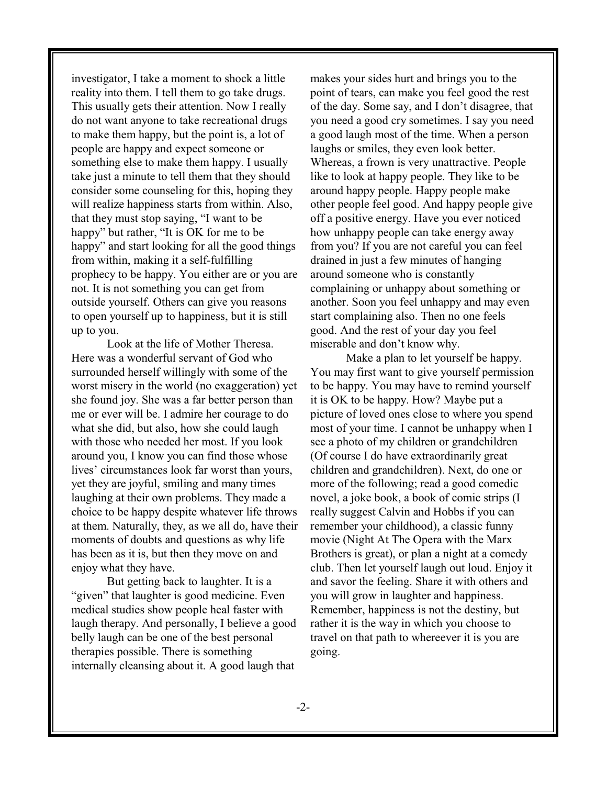investigator, I take a moment to shock a little reality into them. I tell them to go take drugs. This usually gets their attention. Now I really do not want anyone to take recreational drugs to make them happy, but the point is, a lot of people are happy and expect someone or something else to make them happy. I usually take just a minute to tell them that they should consider some counseling for this, hoping they will realize happiness starts from within. Also, that they must stop saying, "I want to be happy" but rather, "It is OK for me to be happy" and start looking for all the good things from within, making it a self-fulfilling prophecy to be happy. You either are or you are not. It is not something you can get from outside yourself. Others can give you reasons to open yourself up to happiness, but it is still up to you.

Look at the life of Mother Theresa. Here was a wonderful servant of God who surrounded herself willingly with some of the worst misery in the world (no exaggeration) yet she found joy. She was a far better person than me or ever will be. I admire her courage to do what she did, but also, how she could laugh with those who needed her most. If you look around you, I know you can find those whose lives' circumstances look far worst than yours, yet they are joyful, smiling and many times laughing at their own problems. They made a choice to be happy despite whatever life throws at them. Naturally, they, as we all do, have their moments of doubts and questions as why life has been as it is, but then they move on and enjoy what they have.

But getting back to laughter. It is a "given" that laughter is good medicine. Even medical studies show people heal faster with laugh therapy. And personally, I believe a good belly laugh can be one of the best personal therapies possible. There is something internally cleansing about it. A good laugh that

makes your sides hurt and brings you to the point of tears, can make you feel good the rest of the day. Some say, and I don't disagree, that you need a good cry sometimes. I say you need a good laugh most of the time. When a person laughs or smiles, they even look better. Whereas, a frown is very unattractive. People like to look at happy people. They like to be around happy people. Happy people make other people feel good. And happy people give off a positive energy. Have you ever noticed how unhappy people can take energy away from you? If you are not careful you can feel drained in just a few minutes of hanging around someone who is constantly complaining or unhappy about something or another. Soon you feel unhappy and may even start complaining also. Then no one feels good. And the rest of your day you feel miserable and don't know why.

Make a plan to let yourself be happy. You may first want to give yourself permission to be happy. You may have to remind yourself it is OK to be happy. How? Maybe put a picture of loved ones close to where you spend most of your time. I cannot be unhappy when I see a photo of my children or grandchildren (Of course I do have extraordinarily great children and grandchildren). Next, do one or more of the following; read a good comedic novel, a joke book, a book of comic strips (I really suggest Calvin and Hobbs if you can remember your childhood), a classic funny movie (Night At The Opera with the Marx Brothers is great), or plan a night at a comedy club. Then let yourself laugh out loud. Enjoy it and savor the feeling. Share it with others and you will grow in laughter and happiness. Remember, happiness is not the destiny, but rather it is the way in which you choose to travel on that path to whereever it is you are going.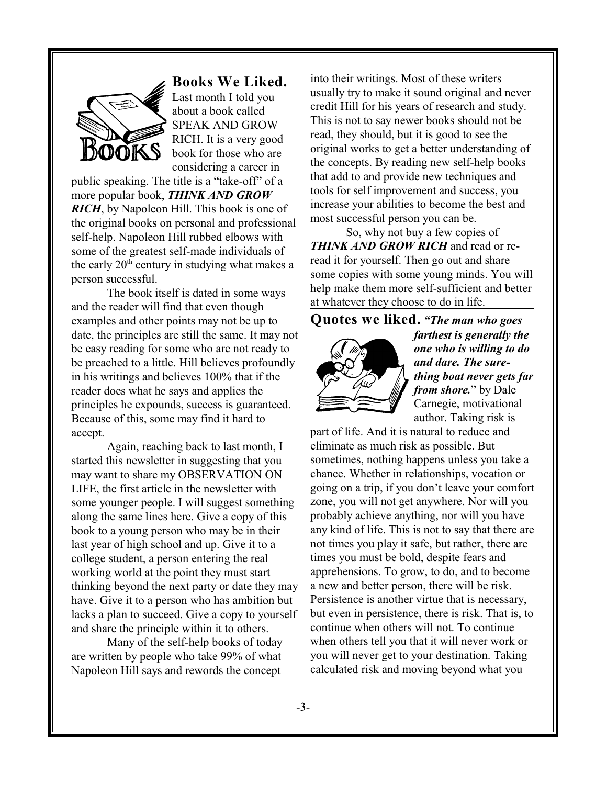

**Books We Liked.** Last month I told you

about a book called SPEAK AND GROW RICH. It is a very good book for those who are considering a career in

public speaking. The title is a "take-off" of a more popular book, *THINK AND GROW RICH*, by Napoleon Hill. This book is one of the original books on personal and professional self-help. Napoleon Hill rubbed elbows with some of the greatest self-made individuals of the early  $20<sup>th</sup>$  century in studying what makes a person successful.

The book itself is dated in some ways and the reader will find that even though examples and other points may not be up to date, the principles are still the same. It may not be easy reading for some who are not ready to be preached to a little. Hill believes profoundly in his writings and believes 100% that if the reader does what he says and applies the principles he expounds, success is guaranteed. Because of this, some may find it hard to accept.

Again, reaching back to last month, I started this newsletter in suggesting that you may want to share my OBSERVATION ON LIFE, the first article in the newsletter with some younger people. I will suggest something along the same lines here. Give a copy of this book to a young person who may be in their last year of high school and up. Give it to a college student, a person entering the real working world at the point they must start thinking beyond the next party or date they may have. Give it to a person who has ambition but lacks a plan to succeed. Give a copy to yourself and share the principle within it to others.

Many of the self-help books of today are written by people who take 99% of what Napoleon Hill says and rewords the concept

into their writings. Most of these writers usually try to make it sound original and never credit Hill for his years of research and study. This is not to say newer books should not be read, they should, but it is good to see the original works to get a better understanding of the concepts. By reading new self-help books that add to and provide new techniques and tools for self improvement and success, you increase your abilities to become the best and most successful person you can be.

So, why not buy a few copies of *THINK AND GROW RICH* and read or reread it for yourself. Then go out and share some copies with some young minds. You will help make them more self-sufficient and better at whatever they choose to do in life.

**Quotes we liked.** *"The man who goes*



*farthest is generally the one who is willing to do and dare. The surething boat never gets far from shore.*" by Dale Carnegie, motivational author. Taking risk is

part of life. And it is natural to reduce and eliminate as much risk as possible. But sometimes, nothing happens unless you take a chance. Whether in relationships, vocation or going on a trip, if you don't leave your comfort zone, you will not get anywhere. Nor will you probably achieve anything, nor will you have any kind of life. This is not to say that there are not times you play it safe, but rather, there are times you must be bold, despite fears and apprehensions. To grow, to do, and to become a new and better person, there will be risk. Persistence is another virtue that is necessary, but even in persistence, there is risk. That is, to continue when others will not. To continue when others tell you that it will never work or you will never get to your destination. Taking calculated risk and moving beyond what you